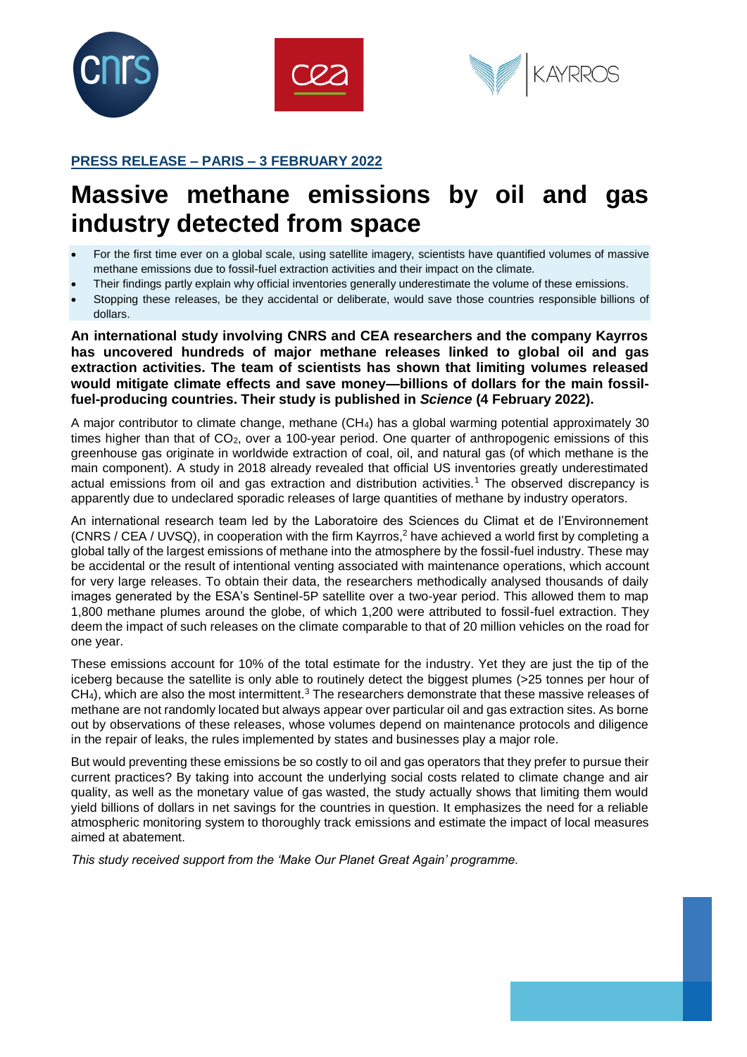





# **PRESS RELEASE – PARIS – 3 FEBRUARY 2022**

# **Massive methane emissions by oil and gas industry detected from space**

- For the first time ever on a global scale, using satellite imagery, scientists have quantified volumes of massive methane emissions due to fossil-fuel extraction activities and their impact on the climate.
- Their findings partly explain why official inventories generally underestimate the volume of these emissions.
- Stopping these releases, be they accidental or deliberate, would save those countries responsible billions of dollars.

**An international study involving CNRS and CEA researchers and the company Kayrros has uncovered hundreds of major methane releases linked to global oil and gas extraction activities. The team of scientists has shown that limiting volumes released would mitigate climate effects and save money—billions of dollars for the main fossilfuel-producing countries. Their study is published in** *Science* **(4 February 2022).**

A major contributor to climate change, methane (CH4) has a global warming potential approximately 30 times higher than that of  $CO<sub>2</sub>$ , over a 100-year period. One quarter of anthropogenic emissions of this greenhouse gas originate in worldwide extraction of coal, oil, and natural gas (of which methane is the main component). A study in 2018 already revealed that official US inventories greatly underestimated actual emissions from oil and gas extraction and distribution activities.<sup>1</sup> The observed discrepancy is apparently due to undeclared sporadic releases of large quantities of methane by industry operators.

An international research team led by the Laboratoire des Sciences du Climat et de l'Environnement (CNRS / CEA / UVSQ), in cooperation with the firm Kayrros,<sup>2</sup> have achieved a world first by completing a global tally of the largest emissions of methane into the atmosphere by the fossil-fuel industry. These may be accidental or the result of intentional venting associated with maintenance operations, which account for very large releases. To obtain their data, the researchers methodically analysed thousands of daily images generated by the ESA's Sentinel-5P satellite over a two-year period. This allowed them to map 1,800 methane plumes around the globe, of which 1,200 were attributed to fossil-fuel extraction. They deem the impact of such releases on the climate comparable to that of 20 million vehicles on the road for one year.

These emissions account for 10% of the total estimate for the industry. Yet they are just the tip of the iceberg because the satellite is only able to routinely detect the biggest plumes (>25 tonnes per hour of  $CH<sub>4</sub>$ ), which are also the most intermittent.<sup>3</sup> The researchers demonstrate that these massive releases of methane are not randomly located but always appear over particular oil and gas extraction sites. As borne out by observations of these releases, whose volumes depend on maintenance protocols and diligence in the repair of leaks, the rules implemented by states and businesses play a major role.

But would preventing these emissions be so costly to oil and gas operators that they prefer to pursue their current practices? By taking into account the underlying social costs related to climate change and air quality, as well as the monetary value of gas wasted, the study actually shows that limiting them would yield billions of dollars in net savings for the countries in question. It emphasizes the need for a reliable atmospheric monitoring system to thoroughly track emissions and estimate the impact of local measures aimed at abatement.

*This study received support from the 'Make Our Planet Great Again' programme.*